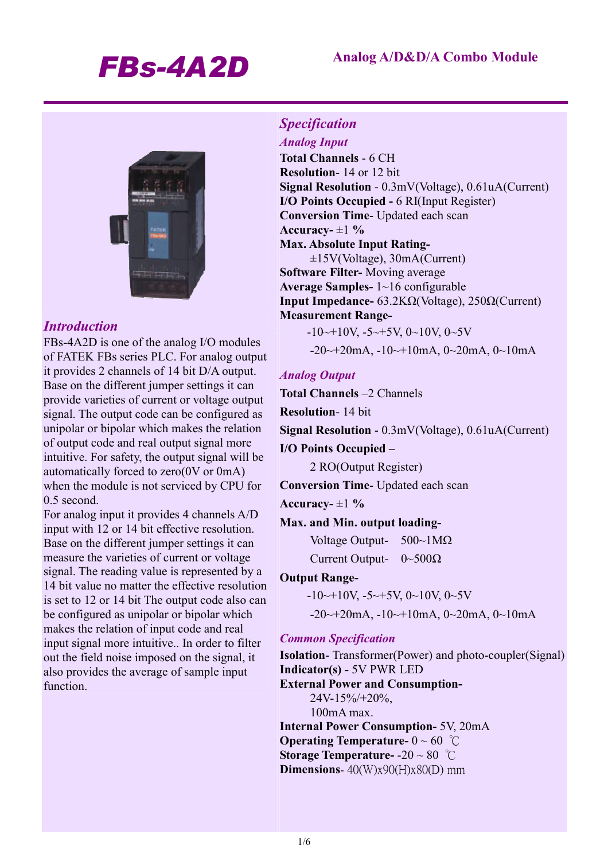

# *Introduction*

FBs-4A2D is one of the analog I/O modules of FATEK FBs series PLC. For analog output it provides 2 channels of 14 bit D/A output. Base on the different jumper settings it can provide varieties of current or voltage output signal. The output code can be configured as unipolar or bipolar which makes the relation of output code and real output signal more intuitive. For safety, the output signal will be automatically forced to zero(0V or 0mA) when the module is not serviced by CPU for 0.5 second.

For analog input it provides 4 channels A/D input with 12 or 14 bit effective resolution. Base on the different jumper settings it can measure the varieties of current or voltage signal. The reading value is represented by a 14 bit value no matter the effective resolution is set to 12 or 14 bit The output code also can be configured as unipolar or bipolar which makes the relation of input code and real input signal more intuitive.. In order to filter out the field noise imposed on the signal, it also provides the average of sample input function.

# *Specification*

*Analog Input*  **Total Channels** - 6 CH **Resolution**- 14 or 12 bit **Signal Resolution** - 0.3mV(Voltage), 0.61uA(Current) **I/O Points Occupied -** 6 RI(Input Register) **Conversion Time**- Updated each scan Accuracy- $\pm 1\%$ **Max. Absolute Input Rating-**  ±15V(Voltage), 30mA(Current) **Software Filter-** Moving average **Average Samples-** 1~16 configurable **Input Impedance-** 63.2KΩ(Voltage), 250Ω(Current) **Measurement Range-** 

 $-10 \rightarrow 10V$ ,  $-5 \rightarrow 5V$ ,  $0 \sim 10V$ ,  $0 \sim 5V$ -20~+20mA, -10~+10mA, 0~20mA, 0~10mA

## *Analog Output*

**Total Channels** –2 Channels

**Resolution**- 14 bit

**Signal Resolution** - 0.3mV(Voltage), 0.61uA(Current)

#### **I/O Points Occupied –**

2 RO(Output Register)

**Conversion Time**- Updated each scan

Accuracy- $\pm 1\%$ 

#### **Max. and Min. output loading-**

Voltage Output- 500~1MΩ Current Output- 0~500Ω

#### **Output Range-**

 $-10 \rightarrow 10V$ ,  $-5 \rightarrow 5V$ ,  $0 \sim 10V$ ,  $0 \sim 5V$ 

 $-20 \rightarrow 20$ mA,  $-10 \rightarrow +10$ mA,  $0 \rightarrow 20$ mA,  $0 \rightarrow 10$ mA

#### *Common Specification*

**Isolation**- Transformer(Power) and photo-coupler(Signal) **Indicator(s) -** 5V PWR LED **External Power and Consumption-**24V-15%/+20%, 100mA max. **Internal Power Consumption-** 5V, 20mA **Operating Temperature-** 0 ~ 60 ℃

**Storage Temperature-** -20 ~ 80 ℃

**Dimensions**- 40(W)x90(H)x80(D) mm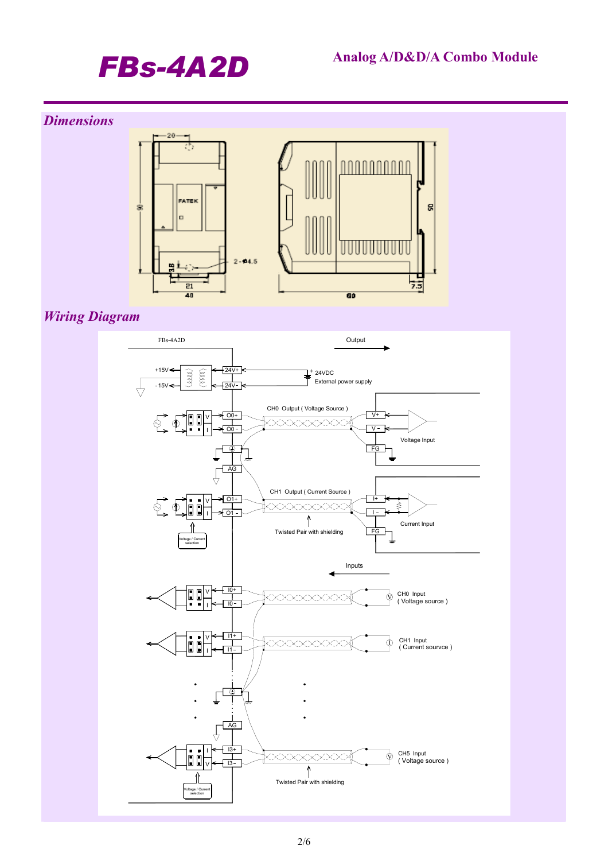# *FBs-4A2D* **Analog A/D&D/A Combo Module**

# *Dimensions*



*Wiring Diagram* 

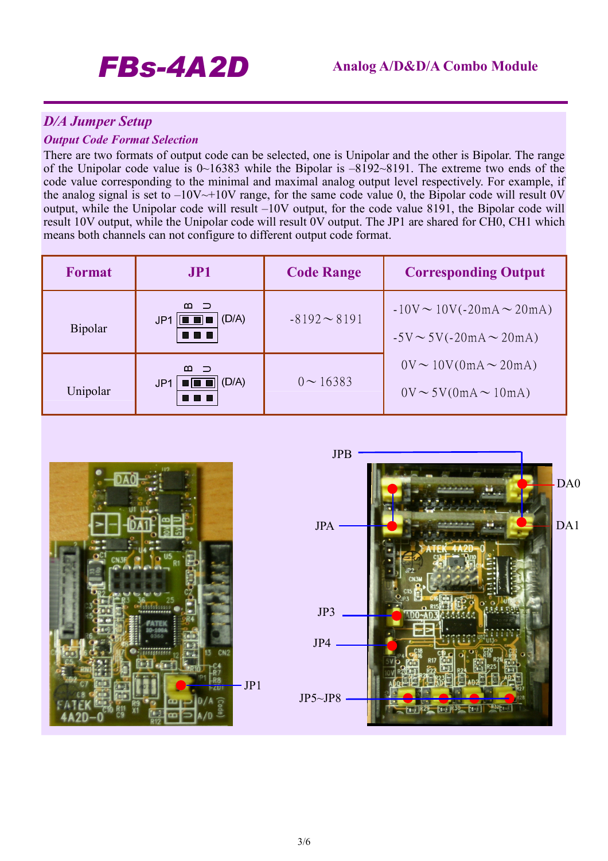# *D/A Jumper Setup*

#### *Output Code Format Selection*

There are two formats of output code can be selected, one is Unipolar and the other is Bipolar. The range of the Unipolar code value is 0~16383 while the Bipolar is –8192~8191. The extreme two ends of the code value corresponding to the minimal and maximal analog output level respectively. For example, if the analog signal is set to  $-10V \rightarrow +10V$  range, for the same code value 0, the Bipolar code will result 0V output, while the Unipolar code will result –10V output, for the code value 8191, the Bipolar code will result 10V output, while the Unipolar code will result 0V output. The JP1 are shared for CH0, CH1 which means both channels can not configure to different output code format.

| <b>Format</b>  | <b>JP1</b>                                          | <b>Code Range</b> | <b>Corresponding Output</b>                                        |
|----------------|-----------------------------------------------------|-------------------|--------------------------------------------------------------------|
| <b>Bipolar</b> | $m \supset$<br>(D/A)<br>JP <sub>1</sub>             | $-8192 \sim 8191$ | $-10V \sim 10V(-20mA \sim 20mA)$<br>$-5V \sim 5V(-20mA \sim 20mA)$ |
| Unipolar       | $m \supset$<br>(D/A)<br>JP <sub>1</sub><br>80 8 8 K | $0 \sim 16383$    | $0V \sim 10V(0mA \sim 20mA)$<br>$0V \sim 5V(0mA \sim 10mA)$        |



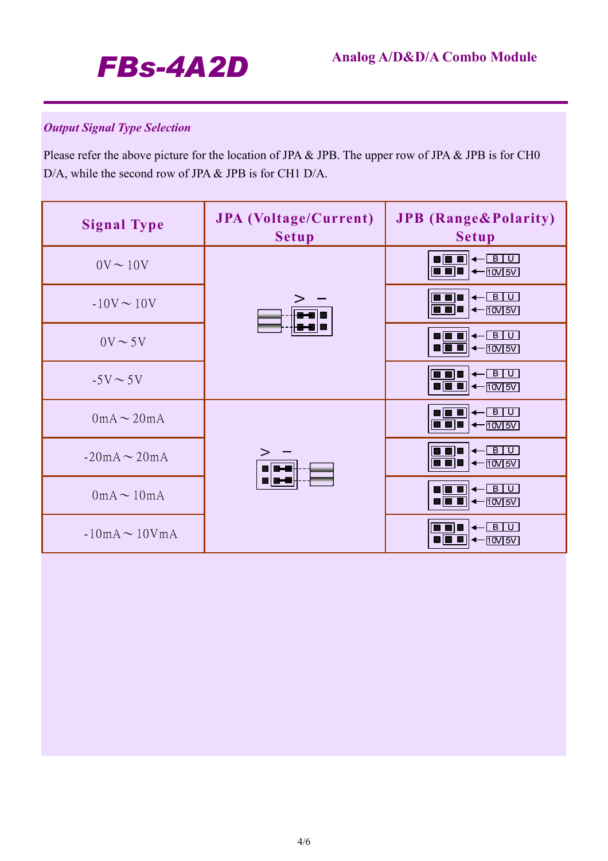

# *Output Signal Type Selection*

Please refer the above picture for the location of JPA & JPB. The upper row of JPA & JPB is for CH0 D/A, while the second row of JPA & JPB is for CH1 D/A.

| <b>Signal Type</b> | <b>JPA</b> (Voltage/Current)<br><b>Setup</b> | <b>JPB</b> (Range&Polarity)<br><b>Setup</b>                                                                                                                                    |
|--------------------|----------------------------------------------|--------------------------------------------------------------------------------------------------------------------------------------------------------------------------------|
| $0V \sim 10V$      |                                              | $\begin{array}{c} \begin{array}{c} \hline \textbf{B} & \textbf{B} \end{array} \end{array}$<br>$\boxed{\blacksquare \blacksquare \blacksquare}$ $\leftarrow$ $\boxed{10V}$ $5V$ |
| $-10V \sim 10V$    |                                              | $\leftarrow$ BU<br>$\boxed{\blacksquare\blacksquare\blacksquare\blacktriangleright\blacktriangleleft\text{row}$ 5V                                                             |
| $0V \sim 5V$       |                                              | $\leftarrow$ BU<br>86 Q                                                                                                                                                        |
| $-5V \sim 5V$      |                                              | $\leftarrow$ B U<br>$\boxed{\blacksquare \blacksquare \blacksquare \blacktriangleleft \longleftarrow \text{nov} \text{sv}}$                                                    |
| $0mA \sim 20mA$    |                                              | $ B$ $ U $<br>80 I<br>$\boxed{\blacksquare \blacksquare \blacksquare \blacktriangleright \blacktriangleleft \neg \text{10V} \text{5V}}$                                        |
| $-20mA \sim 20mA$  |                                              | $\leftarrow$ B U<br>$\blacksquare$ $\blacksquare$ $\blacktriangleright$ $\blacksquare$ $\blacktriangleright$ $\blacksquare$ $\blacksquare$                                     |
| $0mA \sim 10mA$    |                                              |                                                                                                                                                                                |
| $-10mA \sim 10VmA$ |                                              | $B$ U<br>80 C<br>$\left  \leftarrow \text{10V} \right  \text{5V}$                                                                                                              |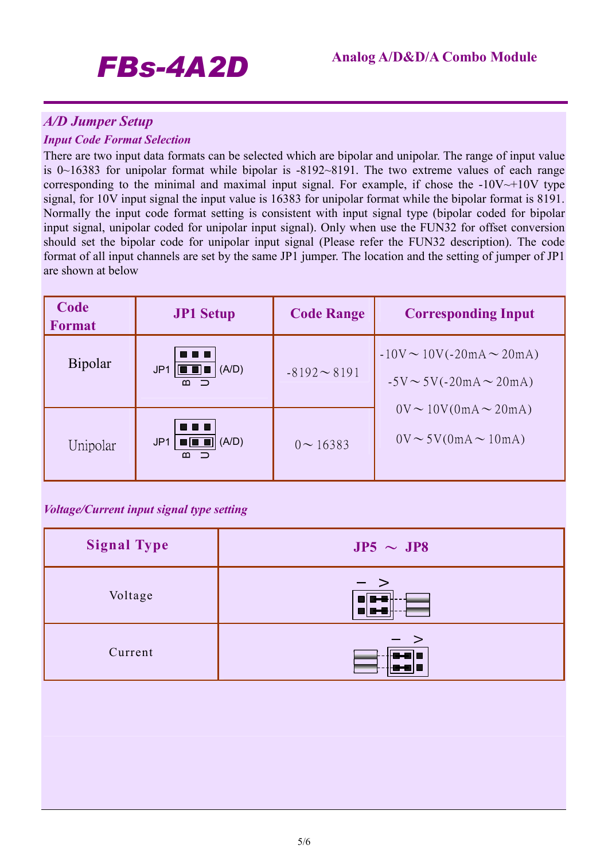# *FBs-4A2D* **Analog A/D&D/A Combo Module**

# *A/D Jumper Setup*

## *Input Code Format Selection*

There are two input data formats can be selected which are bipolar and unipolar. The range of input value is 0~16383 for unipolar format while bipolar is -8192~8191. The two extreme values of each range corresponding to the minimal and maximal input signal. For example, if chose the  $-10V \rightarrow +10V$  type signal, for 10V input signal the input value is 16383 for unipolar format while the bipolar format is 8191. Normally the input code format setting is consistent with input signal type (bipolar coded for bipolar input signal, unipolar coded for unipolar input signal). Only when use the FUN32 for offset conversion should set the bipolar code for unipolar input signal (Please refer the FUN32 description). The code format of all input channels are set by the same JP1 jumper. The location and the setting of jumper of JP1 are shown at below

| Code<br><b>Format</b> | <b>JP1 Setup</b>                          | <b>Code Range</b> | <b>Corresponding Input</b>                                          |
|-----------------------|-------------------------------------------|-------------------|---------------------------------------------------------------------|
| Bipolar               | (A/D)<br>JP <sub>1</sub><br>10 O J<br>ന – | $-8192 - 8191$    | $-10V \sim 10V (-20mA \sim 20mA)$<br>$-5V \sim 5V(-20mA \sim 20mA)$ |
| Unipolar              | 4 O D<br>(A/D)<br>JP1<br>WWW<br>മ         | $0 \sim 16383$    | $0V \sim 10V(0mA \sim 20mA)$<br>$0V \sim 5V(0mA \sim 10mA)$         |

## *Voltage/Current input signal type setting*

| <b>Signal Type</b> | $JP5 \sim JP8$ |
|--------------------|----------------|
| Voltage            | $-$ ><br>165   |
| Current            | $-$ >          |